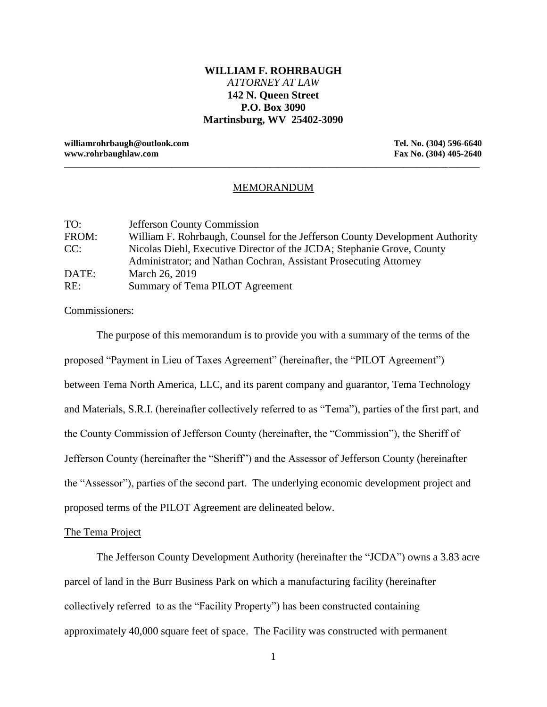# **WILLIAM F. ROHRBAUGH** *ATTORNEY AT LAW* **142 N. Queen Street P.O. Box 3090 Martinsburg, WV 25402-3090**

**williamrohrbaugh@outlook.com Tel. No. (304) 596-6640 www.rohrbaughlaw.com Fax No. (304) 405-2640**

### MEMORANDUM

**\_\_\_\_\_\_\_\_\_\_\_\_\_\_\_\_\_\_\_\_\_\_\_\_\_\_\_\_\_\_\_\_\_\_\_\_\_\_\_\_\_\_\_\_\_\_\_\_\_\_\_\_\_\_\_\_\_\_\_\_\_\_\_\_\_\_\_\_\_\_\_\_\_\_\_\_\_\_\_\_\_\_\_\_\_\_\_\_\_\_\_\_\_**

| TO:   | <b>Jefferson County Commission</b>                                           |
|-------|------------------------------------------------------------------------------|
| FROM: | William F. Rohrbaugh, Counsel for the Jefferson County Development Authority |
| CC:   | Nicolas Diehl, Executive Director of the JCDA; Stephanie Grove, County       |
|       | Administrator; and Nathan Cochran, Assistant Prosecuting Attorney            |
| DATE: | March 26, 2019                                                               |
| RE:   | Summary of Tema PILOT Agreement                                              |

Commissioners:

The purpose of this memorandum is to provide you with a summary of the terms of the proposed "Payment in Lieu of Taxes Agreement" (hereinafter, the "PILOT Agreement") between Tema North America, LLC, and its parent company and guarantor, Tema Technology and Materials, S.R.I. (hereinafter collectively referred to as "Tema"), parties of the first part, and the County Commission of Jefferson County (hereinafter, the "Commission"), the Sheriff of Jefferson County (hereinafter the "Sheriff") and the Assessor of Jefferson County (hereinafter the "Assessor"), parties of the second part. The underlying economic development project and proposed terms of the PILOT Agreement are delineated below.

#### The Tema Project

The Jefferson County Development Authority (hereinafter the "JCDA") owns a 3.83 acre parcel of land in the Burr Business Park on which a manufacturing facility (hereinafter collectively referred to as the "Facility Property") has been constructed containing approximately 40,000 square feet of space. The Facility was constructed with permanent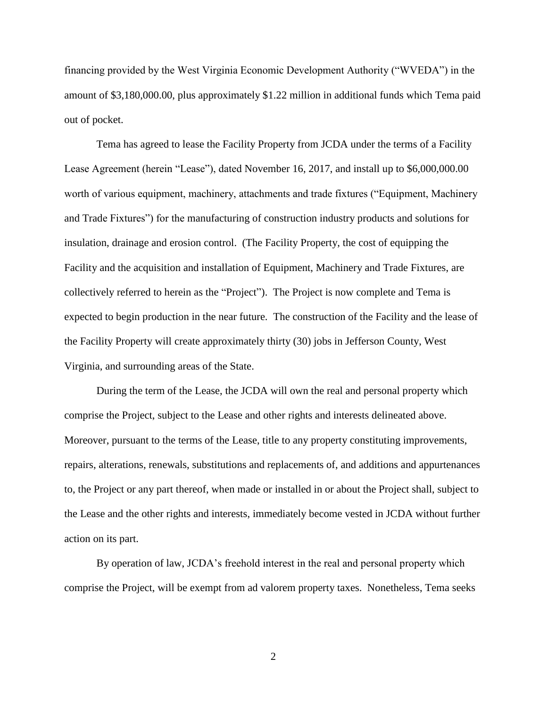financing provided by the West Virginia Economic Development Authority ("WVEDA") in the amount of \$3,180,000.00, plus approximately \$1.22 million in additional funds which Tema paid out of pocket.

Tema has agreed to lease the Facility Property from JCDA under the terms of a Facility Lease Agreement (herein "Lease"), dated November 16, 2017, and install up to \$6,000,000.00 worth of various equipment, machinery, attachments and trade fixtures ("Equipment, Machinery and Trade Fixtures") for the manufacturing of construction industry products and solutions for insulation, drainage and erosion control. (The Facility Property, the cost of equipping the Facility and the acquisition and installation of Equipment, Machinery and Trade Fixtures, are collectively referred to herein as the "Project"). The Project is now complete and Tema is expected to begin production in the near future. The construction of the Facility and the lease of the Facility Property will create approximately thirty (30) jobs in Jefferson County, West Virginia, and surrounding areas of the State.

During the term of the Lease, the JCDA will own the real and personal property which comprise the Project, subject to the Lease and other rights and interests delineated above. Moreover, pursuant to the terms of the Lease, title to any property constituting improvements, repairs, alterations, renewals, substitutions and replacements of, and additions and appurtenances to, the Project or any part thereof, when made or installed in or about the Project shall, subject to the Lease and the other rights and interests, immediately become vested in JCDA without further action on its part.

By operation of law, JCDA's freehold interest in the real and personal property which comprise the Project, will be exempt from ad valorem property taxes. Nonetheless, Tema seeks

2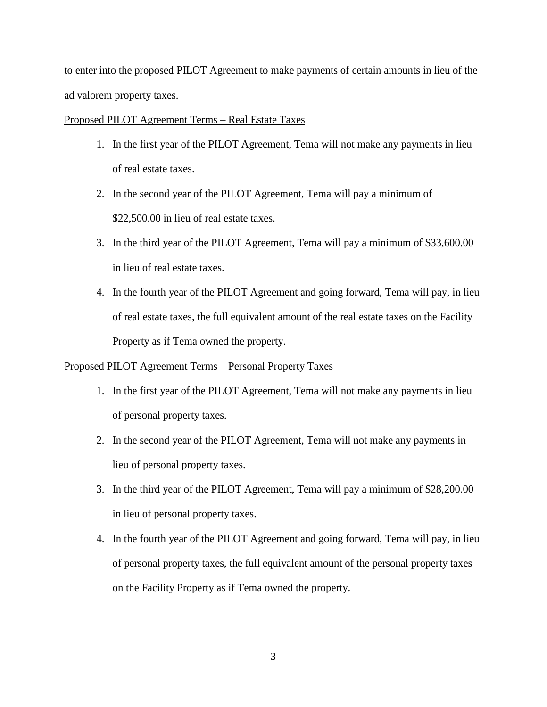to enter into the proposed PILOT Agreement to make payments of certain amounts in lieu of the ad valorem property taxes.

### Proposed PILOT Agreement Terms – Real Estate Taxes

- 1. In the first year of the PILOT Agreement, Tema will not make any payments in lieu of real estate taxes.
- 2. In the second year of the PILOT Agreement, Tema will pay a minimum of \$22,500.00 in lieu of real estate taxes.
- 3. In the third year of the PILOT Agreement, Tema will pay a minimum of \$33,600.00 in lieu of real estate taxes.
- 4. In the fourth year of the PILOT Agreement and going forward, Tema will pay, in lieu of real estate taxes, the full equivalent amount of the real estate taxes on the Facility Property as if Tema owned the property.

## Proposed PILOT Agreement Terms – Personal Property Taxes

- 1. In the first year of the PILOT Agreement, Tema will not make any payments in lieu of personal property taxes.
- 2. In the second year of the PILOT Agreement, Tema will not make any payments in lieu of personal property taxes.
- 3. In the third year of the PILOT Agreement, Tema will pay a minimum of \$28,200.00 in lieu of personal property taxes.
- 4. In the fourth year of the PILOT Agreement and going forward, Tema will pay, in lieu of personal property taxes, the full equivalent amount of the personal property taxes on the Facility Property as if Tema owned the property.